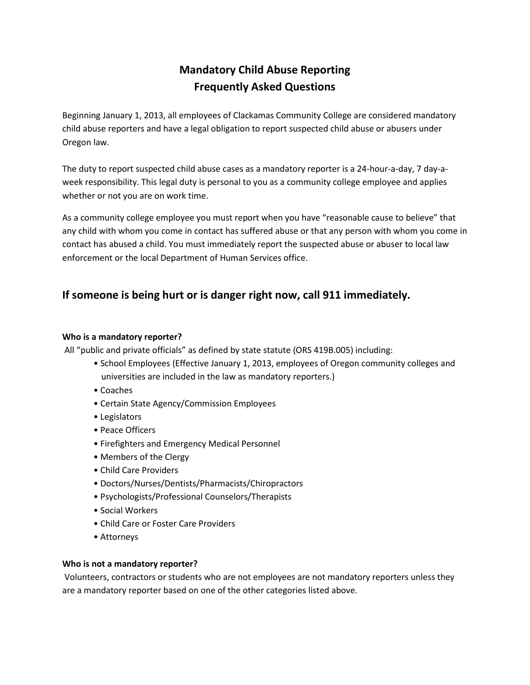# **Mandatory Child Abuse Reporting Frequently Asked Questions**

Beginning January 1, 2013, all employees of Clackamas Community College are considered mandatory child abuse reporters and have a legal obligation to report suspected child abuse or abusers under Oregon law.

The duty to report suspected child abuse cases as a mandatory reporter is a 24-hour-a-day, 7 day-aweek responsibility. This legal duty is personal to you as a community college employee and applies whether or not you are on work time.

As a community college employee you must report when you have "reasonable cause to believe" that any child with whom you come in contact has suffered abuse or that any person with whom you come in contact has abused a child. You must immediately report the suspected abuse or abuser to local law enforcement or the local Department of Human Services office.

# **If someone is being hurt or is danger right now, call 911 immediately.**

#### **Who is a mandatory reporter?**

All "public and private officials" as defined by state statute (ORS 419B.005) including:

- School Employees (Effective January 1, 2013, employees of Oregon community colleges and universities are included in the law as mandatory reporters.)
- Coaches
- Certain State Agency/Commission Employees
- Legislators
- Peace Officers
- Firefighters and Emergency Medical Personnel
- Members of the Clergy
- Child Care Providers
- Doctors/Nurses/Dentists/Pharmacists/Chiropractors
- Psychologists/Professional Counselors/Therapists
- Social Workers
- Child Care or Foster Care Providers
- Attorneys

#### **Who is not a mandatory reporter?**

Volunteers, contractors or students who are not employees are not mandatory reporters unless they are a mandatory reporter based on one of the other categories listed above.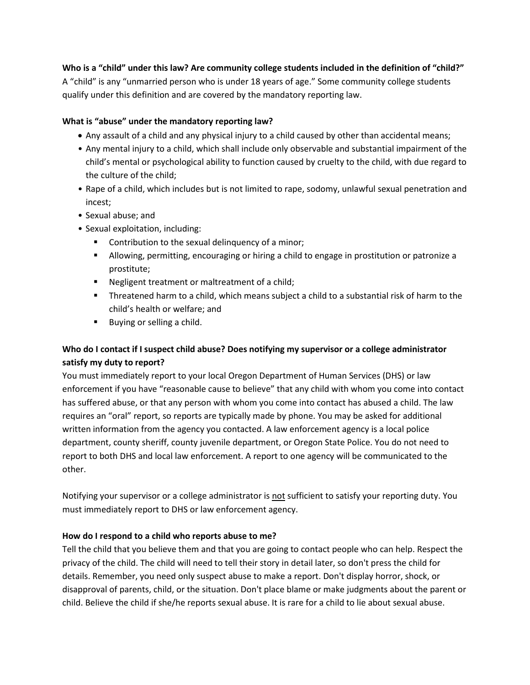**Who is a "child" under this law? Are community college students included in the definition of "child?"** A "child" is any "unmarried person who is under 18 years of age." Some community college students qualify under this definition and are covered by the mandatory reporting law.

### **What is "abuse" under the mandatory reporting law?**

- Any assault of a child and any physical injury to a child caused by other than accidental means;
- Any mental injury to a child, which shall include only observable and substantial impairment of the child's mental or psychological ability to function caused by cruelty to the child, with due regard to the culture of the child;
- Rape of a child, which includes but is not limited to rape, sodomy, unlawful sexual penetration and incest;
- Sexual abuse; and
- Sexual exploitation, including:
	- **Contribution to the sexual delinquency of a minor;**
	- Allowing, permitting, encouraging or hiring a child to engage in prostitution or patronize a prostitute;
	- Negligent treatment or maltreatment of a child;
	- Threatened harm to a child, which means subject a child to a substantial risk of harm to the child's health or welfare; and
	- **Buying or selling a child.**

## **Who do I contact if I suspect child abuse? Does notifying my supervisor or a college administrator satisfy my duty to report?**

You must immediately report to your local Oregon Department of Human Services (DHS) or law enforcement if you have "reasonable cause to believe" that any child with whom you come into contact has suffered abuse, or that any person with whom you come into contact has abused a child. The law requires an "oral" report, so reports are typically made by phone. You may be asked for additional written information from the agency you contacted. A law enforcement agency is a local police department, county sheriff, county juvenile department, or Oregon State Police. You do not need to report to both DHS and local law enforcement. A report to one agency will be communicated to the other.

Notifying your supervisor or a college administrator is not sufficient to satisfy your reporting duty. You must immediately report to DHS or law enforcement agency.

#### **How do I respond to a child who reports abuse to me?**

Tell the child that you believe them and that you are going to contact people who can help. Respect the privacy of the child. The child will need to tell their story in detail later, so don't press the child for details. Remember, you need only suspect abuse to make a report. Don't display horror, shock, or disapproval of parents, child, or the situation. Don't place blame or make judgments about the parent or child. Believe the child if she/he reports sexual abuse. It is rare for a child to lie about sexual abuse.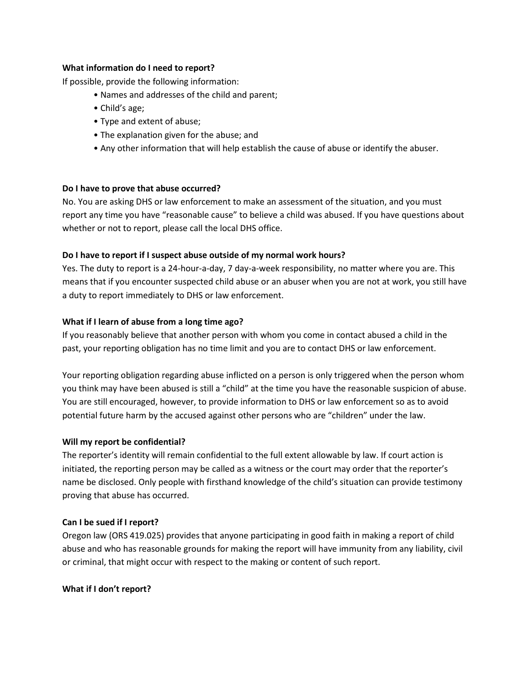#### **What information do I need to report?**

If possible, provide the following information:

- Names and addresses of the child and parent;
- Child's age;
- Type and extent of abuse;
- The explanation given for the abuse; and
- Any other information that will help establish the cause of abuse or identify the abuser.

#### **Do I have to prove that abuse occurred?**

No. You are asking DHS or law enforcement to make an assessment of the situation, and you must report any time you have "reasonable cause" to believe a child was abused. If you have questions about whether or not to report, please call the local DHS office.

#### **Do I have to report if I suspect abuse outside of my normal work hours?**

Yes. The duty to report is a 24-hour-a-day, 7 day-a-week responsibility, no matter where you are. This means that if you encounter suspected child abuse or an abuser when you are not at work, you still have a duty to report immediately to DHS or law enforcement.

#### **What if I learn of abuse from a long time ago?**

If you reasonably believe that another person with whom you come in contact abused a child in the past, your reporting obligation has no time limit and you are to contact DHS or law enforcement.

Your reporting obligation regarding abuse inflicted on a person is only triggered when the person whom you think may have been abused is still a "child" at the time you have the reasonable suspicion of abuse. You are still encouraged, however, to provide information to DHS or law enforcement so as to avoid potential future harm by the accused against other persons who are "children" under the law.

#### **Will my report be confidential?**

The reporter's identity will remain confidential to the full extent allowable by law. If court action is initiated, the reporting person may be called as a witness or the court may order that the reporter's name be disclosed. Only people with firsthand knowledge of the child's situation can provide testimony proving that abuse has occurred.

#### **Can I be sued if I report?**

Oregon law (ORS 419.025) provides that anyone participating in good faith in making a report of child abuse and who has reasonable grounds for making the report will have immunity from any liability, civil or criminal, that might occur with respect to the making or content of such report.

#### **What if I don't report?**